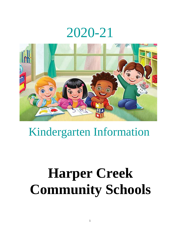# 2020-21



# Kindergarten Information

# **Harper Creek Community Schools**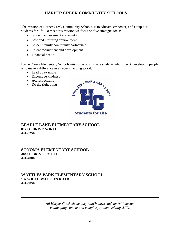#### **HARPER CREEK COMMUNITY SCHOOLS**

The mission of Harper Creek Community Schools, is to educate, empower, and equip our students for life. To meet this mission we focus on five strategic goals:

- Student achievement and equity
- Safe and nurturing environment
- Student/family/community partnership
- Talent recruitment and development
- Financial health

Harper Creek Elementary Schools mission is to cultivate students who LEAD, developing people who make a difference in an ever changing world.

- Lead by example
- Encourage kindness
- Act respectfully
- Do the right thing



#### **BEADLE LAKE ELEMENTARY SCHOOL 8175 C DRIVE NORTH 441-3250**

#### **SONOMA ELEMENTARY SCHOOL 4640 B DRIVE SOUTH 441-7800**

#### **WATTLES PARK ELEMENTARY SCHOOL 132 SOUTH WATTLES ROAD 441-5850**

*All Harper Creek elementary staff believe students will master challenging content and complex problem-solving skills.*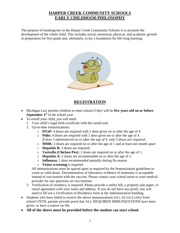### **HARPER CREEK COMMUNITY SCHOOLS EARLY CHILDHOOD PHILOSOPHY**

The purpose of kindergarten in the Harper Creek Community Schools is to promote the development of the whole child. This includes social, emotional, physical, and academic growth in preparation for first grade and, ultimately, to lay a foundation for life-long learning.



## **REGISTRATION**

- Michigan Law permits children to enter school if they will be **five years old on or before September 1 st** of the school year.
- To enroll your child, you will need:
	- 1. Your child's legal birth certificate with the raised seal.
	- 2. Up-to-date immunizations:
		- o **DTaP:** 4 doses are required with 1 dose given on or after the age of 4.
		- o **Polio:** 4 doses are required with 1 dose given on or after the age of 4. *If dose 3 administered on or after the age of 4, only 3 doses are required.*
		- o **MMR:** 2 doses are required on or after the age of 1 and at least one month apart.
		- o **Hepatitis B:** 3 doses are required.
		- o **Varicella (Chicken Pox):** 2 doses are required on or after the age of 1.
		- o **Hepatitis A:** 2 doses are recommended on or after the age of 1.
		- o **Influenza:** 1 dose recommended annually during flu season.
		- o **Vision screening** is required.

All immunizations must be spaced apart as required by the Immunization guidelines to count as valid doses. Documentation of laboratory evidence of immunity is acceptable instead of vaccination with the vaccine. Please contact your school nurse or your medical provider for any questions on vaccinations.

- 3. Verification of residency is required. Please provide a utility bill, a property sale paper, or rental agreement with your name and address. If you do not have any proof, you will need to fill out a Verification of Residency form at the Administration building.
- Students who have failed to receive the above immunizations WILL BE EXCLUDED from school UNTIL parents provide proof that ALL REQUIRED IMMUNIZATIONS have been given, or have a waiver on file.
- **All of the above must be provided before the student can start school.**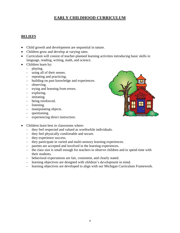### **EARLY CHILDHOOD CURRICULUM**

#### **BELIEFS**

- Child growth and development are sequential in nature.
- Children grow and develop at varying rates.
- Curriculum will consist of teacher-planned learning activities introducing basic skills in language, reading, writing, math, and science.
- Children learn by:
	- playing.
	- using all of their senses.
	- repeating and practicing.
	- building on past knowledge and experiences.
	- observing.
	- trying and learning from errors.
	- exploring.
	- imitating.
	- being reinforced.
	- listening.
	- manipulating objects.
	- questioning.
	- experiencing direct instruction.



- Children learn best in classrooms where:
	- they feel respected and valued as worthwhile individuals.
	- they feel physically comfortable and secure.
	- they experience success.
	- they participate in varied and multi-sensory learning experiences.
	- parents are accepted and involved in the learning experiences.
	- the class size is small enough for teachers to observe children and to spend time with their students.
	- behavioral expectations are fair, consistent, and clearly stated.
	- learning objectives are designed with children's development in mind.
	- learning objectives are developed to align with our Michigan Curriculum Framework.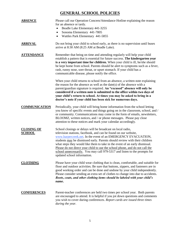# **GENERAL SCHOOL POLICIES**

| <b>ABSENCE</b>                     | Please call our Operation Concern/Attendance Hotline explaining the reason<br>for an absence or tardy.<br>Beadle Lake Elementary 441-3255<br>٠<br>Sonoma Elementary 441-7805<br>$\bullet$<br>Wattles Park Elementary 441-5855                                                                                                                                                                                                                                                                                                                            |
|------------------------------------|----------------------------------------------------------------------------------------------------------------------------------------------------------------------------------------------------------------------------------------------------------------------------------------------------------------------------------------------------------------------------------------------------------------------------------------------------------------------------------------------------------------------------------------------------------|
| <u>ARRIVAL</u>                     | Do not bring your child to school early, as there is no supervision until buses<br>arrive at 8:30 AM (8:25 AM at Beadle Lake).                                                                                                                                                                                                                                                                                                                                                                                                                           |
| <b>ATTENDANCE</b>                  | Remember that being on time and attending regularly will help your child<br>establish a pattern that is essential for future success. The kindergarten year<br>is a very important time for children. When your child is ill, he/she should<br>be kept home from school. Parents should be alert to symptoms such as a fever,<br>rash, runny nose, sore throat, or upset stomach. If your child has a<br>communicable disease, please notify the office.                                                                                                 |
|                                    | When your child returns to school from an absence, a written note explaining<br>the reason for the absence as well as the date(s) of the absence with a<br>parent/guardian signature is required. An "excused" absence will only be<br>considered if a written note is submitted to the office within two days of<br>your child's return to school. At times you may be asked to bring in a<br>doctor's note if your child has been sick for numerous days.                                                                                              |
| <b>COMMUNICATION</b>               | Periodically, your child will bring home information from the school letting<br>you know of specific events and things going on in the classroom, school, and /<br>or community. Communications may come in the form of emails, newsletters,<br>BLOOMZ, written notices, and / or phone messages. Please pay close<br>attention to these notices and mark your calendar accordingly.                                                                                                                                                                     |
| <b>CLOSING OF</b><br><b>SCHOOL</b> | School closings or delays will be broadcast on local radio,<br>television stations, facebook, and can be found on our website,<br>www.harpercreek.net. In the event of an EMERGENCY EVACUATION,<br>students may be dismissed early. Parents should review with their children<br>what steps they would like them to take in the event of an early dismissal.<br>Please do not direct your child to use the school phone, and do not call the<br>school unnecessarily. You may call 979-5317 and listen to the prompts for<br>updated school information. |
| <b>CLOTHING</b>                    | Please have your child wear clothing that is clean, comfortable, and suitable for<br>floor and outdoor activities. Be sure that buttons, zippers, and fasteners are in<br>good working order and can be done and undone by your child independently.<br>Please consider sending an extra set of clothes to change into due to accidents.<br>Boots, coats, and other clothing items should be labeled with your child's<br>name.                                                                                                                          |
| <b>CONFERENCES</b>                 | Parent-teacher conferences are held two times per school year. Both parents<br>are encouraged to attend. It is helpful if you jot down questions and comments<br>you wish to cover during conferences. Report cards are issued three times<br>during the year.                                                                                                                                                                                                                                                                                           |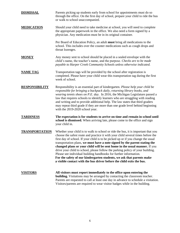| <b>DISMISSAL</b>      | Parents picking up students early from school for appointments must do so<br>through the office. On the first day of school, prepare your child to ride the bus<br>or walk to school unaccompanied.                                                                                                                                                                                                                                                                                                                                                                                                                                                                                                                           |
|-----------------------|-------------------------------------------------------------------------------------------------------------------------------------------------------------------------------------------------------------------------------------------------------------------------------------------------------------------------------------------------------------------------------------------------------------------------------------------------------------------------------------------------------------------------------------------------------------------------------------------------------------------------------------------------------------------------------------------------------------------------------|
| <b>MEDICATION</b>     | Should your child need to take medicine at school, you will need to complete<br>the appropriate paperwork in the office. We also need a form signed by a<br>physician. Any medication must be in its original container.                                                                                                                                                                                                                                                                                                                                                                                                                                                                                                      |
|                       | Per Board of Education Policy, an adult must bring all medications to the<br>school. This includes over the counter medications such as cough drops and<br>throat lozenges.                                                                                                                                                                                                                                                                                                                                                                                                                                                                                                                                                   |
| <b>MONEY</b>          | Any money sent to school should be placed in a sealed envelope with the<br>child's name, the teacher's name, and the purpose. Checks are to be made<br>payable to Harper Creek Community Schools unless otherwise indicated.                                                                                                                                                                                                                                                                                                                                                                                                                                                                                                  |
| <b>NAME TAG</b>       | Transportation tags will be provided by the school after registration is<br>completed. Please have your child wear this transportation tag during the first<br>week of school.                                                                                                                                                                                                                                                                                                                                                                                                                                                                                                                                                |
| <b>RESPONSIBILITY</b> | Responsibility is an essential part of kindergarten. Please help your child be<br>responsible for bringing a backpack daily, returning library books, and<br>wearing tennis shoes on P.E. day. In 2016, the Michigan Legislature passed a<br>law that requires schools to identify learners who are struggling with reading<br>and writing and to provide additional help. The law states that third graders<br>may repeat third grade if they are more than one grade level behind beginning<br>with the 2019-2020 school year.                                                                                                                                                                                              |
| <b>TARDINESS</b>      | The expectation is for students to arrive on time and remain in school until<br>school is dismissed. When arriving late, please come to the office and sign<br>your child in.                                                                                                                                                                                                                                                                                                                                                                                                                                                                                                                                                 |
| <b>TRANSPORTATION</b> | Whether your child is to walk to school or ride the bus, it is important that you<br>choose the safest route and practice it with your child several times before the<br>first day of school. If your child is to be picked up or if you change the usual<br>transportation plans, we must have a note signed by the parent stating the<br>changed plans or your child will be sent home in the usual manner. If you<br>drive your child to school, please follow the parking policy of your building.<br>Please see individual building handbooks for further information.<br>For the safety of our kindergarten students, we ask that parents make<br>a visible contact with the bus driver before the child exits the bus. |
| <b>VISITORS</b>       | All visitors must report immediately to the office upon entering the<br><b>building.</b> Visitations may be arranged by contacting the classroom teacher.<br>Parents are requested to call at least one day in advance to schedule a visitation.<br>Visitors/parents are required to wear visitor badges while in the building.                                                                                                                                                                                                                                                                                                                                                                                               |